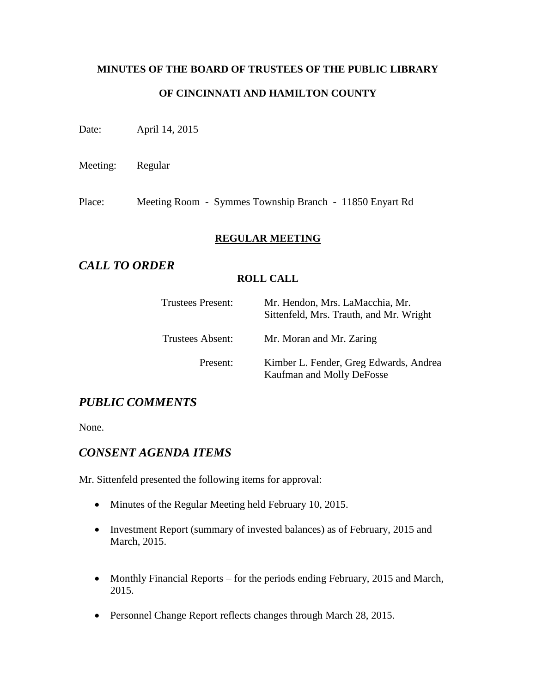# **MINUTES OF THE BOARD OF TRUSTEES OF THE PUBLIC LIBRARY OF CINCINNATI AND HAMILTON COUNTY**

Date: April 14, 2015

Meeting: Regular

Place: Meeting Room - Symmes Township Branch - 11850 Enyart Rd

#### **REGULAR MEETING**

# *CALL TO ORDER*

#### **ROLL CALL**

| Trustees Present: | Mr. Hendon, Mrs. LaMacchia, Mr.<br>Sittenfeld, Mrs. Trauth, and Mr. Wright |
|-------------------|----------------------------------------------------------------------------|
| Trustees Absent:  | Mr. Moran and Mr. Zaring                                                   |
| Present:          | Kimber L. Fender, Greg Edwards, Andrea<br>Kaufman and Molly DeFosse        |

# *PUBLIC COMMENTS*

None.

# *CONSENT AGENDA ITEMS*

Mr. Sittenfeld presented the following items for approval:

- Minutes of the Regular Meeting held February 10, 2015.
- Investment Report (summary of invested balances) as of February, 2015 and March, 2015.
- Monthly Financial Reports for the periods ending February, 2015 and March, 2015.
- Personnel Change Report reflects changes through March 28, 2015.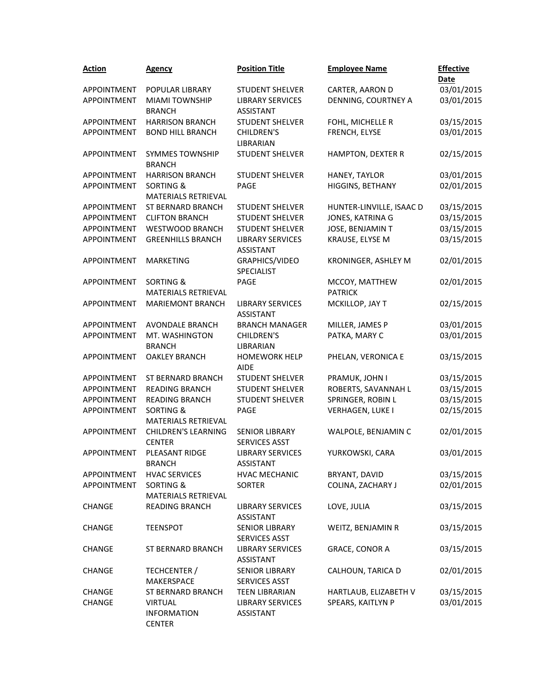| <b>Action</b>      | <b>Agency</b>                                      | <b>Position Title</b>                         | <b>Employee Name</b>             | <b>Effective</b><br><b>Date</b> |
|--------------------|----------------------------------------------------|-----------------------------------------------|----------------------------------|---------------------------------|
| <b>APPOINTMENT</b> | POPULAR LIBRARY                                    | <b>STUDENT SHELVER</b>                        | CARTER, AARON D                  | 03/01/2015                      |
| APPOINTMENT        | <b>MIAMI TOWNSHIP</b>                              | <b>LIBRARY SERVICES</b>                       | DENNING, COURTNEY A              | 03/01/2015                      |
|                    | <b>BRANCH</b>                                      | <b>ASSISTANT</b>                              |                                  |                                 |
| APPOINTMENT        | <b>HARRISON BRANCH</b>                             | <b>STUDENT SHELVER</b>                        | FOHL, MICHELLE R                 | 03/15/2015                      |
| APPOINTMENT        | <b>BOND HILL BRANCH</b>                            | <b>CHILDREN'S</b>                             | FRENCH, ELYSE                    | 03/01/2015                      |
|                    |                                                    | LIBRARIAN                                     |                                  |                                 |
| APPOINTMENT        | <b>SYMMES TOWNSHIP</b><br><b>BRANCH</b>            | <b>STUDENT SHELVER</b>                        | HAMPTON, DEXTER R                | 02/15/2015                      |
| APPOINTMENT        | <b>HARRISON BRANCH</b>                             | <b>STUDENT SHELVER</b>                        | HANEY, TAYLOR                    | 03/01/2015                      |
| APPOINTMENT        | <b>SORTING &amp;</b><br><b>MATERIALS RETRIEVAL</b> | PAGE                                          | HIGGINS, BETHANY                 | 02/01/2015                      |
| APPOINTMENT        | ST BERNARD BRANCH                                  | <b>STUDENT SHELVER</b>                        | HUNTER-LINVILLE, ISAAC D         | 03/15/2015                      |
| APPOINTMENT        | <b>CLIFTON BRANCH</b>                              | <b>STUDENT SHELVER</b>                        | JONES, KATRINA G                 | 03/15/2015                      |
| APPOINTMENT        | WESTWOOD BRANCH                                    | <b>STUDENT SHELVER</b>                        | JOSE, BENJAMIN T                 | 03/15/2015                      |
| APPOINTMENT        | <b>GREENHILLS BRANCH</b>                           | <b>LIBRARY SERVICES</b><br><b>ASSISTANT</b>   | KRAUSE, ELYSE M                  | 03/15/2015                      |
| APPOINTMENT        | <b>MARKETING</b>                                   | GRAPHICS/VIDEO<br>SPECIALIST                  | KRONINGER, ASHLEY M              | 02/01/2015                      |
| APPOINTMENT        | <b>SORTING &amp;</b><br>MATERIALS RETRIEVAL        | PAGE                                          | MCCOY, MATTHEW<br><b>PATRICK</b> | 02/01/2015                      |
| <b>APPOINTMENT</b> | <b>MARIEMONT BRANCH</b>                            | <b>LIBRARY SERVICES</b><br><b>ASSISTANT</b>   | MCKILLOP, JAY T                  | 02/15/2015                      |
| APPOINTMENT        | AVONDALE BRANCH                                    | <b>BRANCH MANAGER</b>                         | MILLER, JAMES P                  | 03/01/2015                      |
| APPOINTMENT        | MT. WASHINGTON                                     | <b>CHILDREN'S</b>                             | PATKA, MARY C                    | 03/01/2015                      |
|                    | <b>BRANCH</b>                                      | LIBRARIAN                                     |                                  |                                 |
| APPOINTMENT        | <b>OAKLEY BRANCH</b>                               | <b>HOMEWORK HELP</b><br><b>AIDE</b>           | PHELAN, VERONICA E               | 03/15/2015                      |
| APPOINTMENT        | ST BERNARD BRANCH                                  | <b>STUDENT SHELVER</b>                        | PRAMUK, JOHN I                   | 03/15/2015                      |
| APPOINTMENT        | <b>READING BRANCH</b>                              | <b>STUDENT SHELVER</b>                        | ROBERTS, SAVANNAH L              | 03/15/2015                      |
| APPOINTMENT        | <b>READING BRANCH</b>                              | <b>STUDENT SHELVER</b>                        | SPRINGER, ROBIN L                | 03/15/2015                      |
| <b>APPOINTMENT</b> | <b>SORTING &amp;</b><br>MATERIALS RETRIEVAL        | PAGE                                          | VERHAGEN, LUKE I                 | 02/15/2015                      |
| APPOINTMENT        | <b>CHILDREN'S LEARNING</b><br><b>CENTER</b>        | <b>SENIOR LIBRARY</b><br><b>SERVICES ASST</b> | WALPOLE, BENJAMIN C              | 02/01/2015                      |
| APPOINTMENT        | PLEASANT RIDGE<br><b>BRANCH</b>                    | <b>LIBRARY SERVICES</b><br><b>ASSISTANT</b>   | YURKOWSKI, CARA                  | 03/01/2015                      |
| APPOINTMENT        | <b>HVAC SERVICES</b>                               | <b>HVAC MECHANIC</b>                          | BRYANT, DAVID                    | 03/15/2015                      |
| APPOINTMENT        | SORTING &                                          | <b>SORTER</b>                                 | COLINA, ZACHARY J                | 02/01/2015                      |
|                    | MATERIALS RETRIEVAL                                |                                               |                                  |                                 |
| CHANGE             | <b>READING BRANCH</b>                              | LIBRARY SERVICES<br><b>ASSISTANT</b>          | LOVE, JULIA                      | 03/15/2015                      |
| <b>CHANGE</b>      | <b>TEENSPOT</b>                                    | <b>SENIOR LIBRARY</b><br>SERVICES ASST        | WEITZ, BENJAMIN R                | 03/15/2015                      |
| <b>CHANGE</b>      | ST BERNARD BRANCH                                  | <b>LIBRARY SERVICES</b><br><b>ASSISTANT</b>   | <b>GRACE, CONOR A</b>            | 03/15/2015                      |
| <b>CHANGE</b>      | TECHCENTER /                                       | <b>SENIOR LIBRARY</b>                         | CALHOUN, TARICA D                | 02/01/2015                      |
|                    | MAKERSPACE                                         | SERVICES ASST                                 |                                  |                                 |
| CHANGE             | <b>ST BERNARD BRANCH</b>                           | <b>TEEN LIBRARIAN</b>                         | HARTLAUB, ELIZABETH V            | 03/15/2015                      |
| <b>CHANGE</b>      | <b>VIRTUAL</b>                                     | <b>LIBRARY SERVICES</b>                       | SPEARS, KAITLYN P                | 03/01/2015                      |
|                    | <b>INFORMATION</b><br><b>CENTER</b>                | ASSISTANT                                     |                                  |                                 |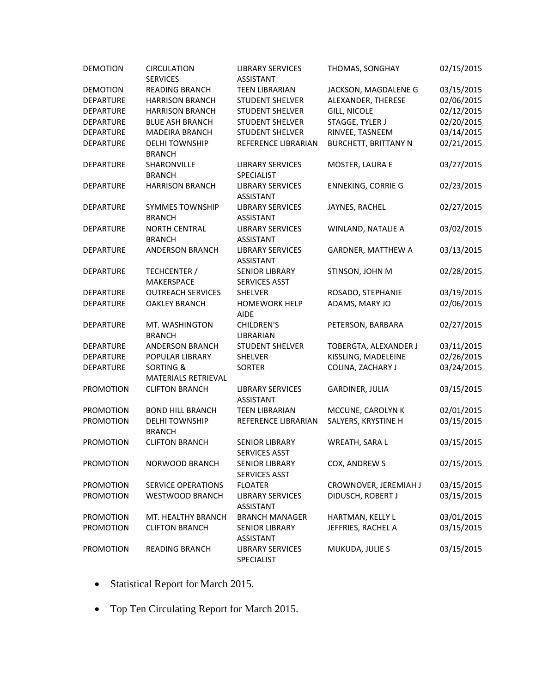| <b>DEMOTION</b>  | <b>CIRCULATION</b>                          | <b>LIBRARY SERVICES</b>                       | THOMAS, SONGHAY             | 02/15/2015 |
|------------------|---------------------------------------------|-----------------------------------------------|-----------------------------|------------|
|                  | <b>SERVICES</b>                             | <b>ASSISTANT</b>                              |                             |            |
| <b>DEMOTION</b>  | READING BRANCH                              | <b>TEEN LIBRARIAN</b>                         | JACKSON, MAGDALENE G        | 03/15/2015 |
| <b>DEPARTURE</b> | <b>HARRISON BRANCH</b>                      | <b>STUDENT SHELVER</b>                        | ALEXANDER, THERESE          | 02/06/2015 |
| <b>DEPARTURE</b> | <b>HARRISON BRANCH</b>                      | <b>STUDENT SHELVER</b>                        | <b>GILL, NICOLE</b>         | 02/12/2015 |
| <b>DEPARTURE</b> | <b>BLUE ASH BRANCH</b>                      | <b>STUDENT SHELVER</b>                        | STAGGE, TYLER J             | 02/20/2015 |
| <b>DEPARTURE</b> | <b>MADEIRA BRANCH</b>                       | <b>STUDENT SHELVER</b>                        | RINVEE, TASNEEM             | 03/14/2015 |
| DEPARTURE        | <b>DELHI TOWNSHIP</b><br><b>BRANCH</b>      | REFERENCE LIBRARIAN                           | <b>BURCHETT, BRITTANY N</b> | 02/21/2015 |
| DEPARTURE        | SHARONVILLE<br><b>BRANCH</b>                | <b>LIBRARY SERVICES</b><br>SPECIALIST         | MOSTER, LAURA E             | 03/27/2015 |
| DEPARTURE        | <b>HARRISON BRANCH</b>                      | <b>LIBRARY SERVICES</b><br><b>ASSISTANT</b>   | <b>ENNEKING, CORRIE G</b>   | 02/23/2015 |
| <b>DEPARTURE</b> | <b>SYMMES TOWNSHIP</b><br><b>BRANCH</b>     | <b>LIBRARY SERVICES</b><br><b>ASSISTANT</b>   | JAYNES, RACHEL              | 02/27/2015 |
| <b>DEPARTURE</b> | <b>NORTH CENTRAL</b><br><b>BRANCH</b>       | <b>LIBRARY SERVICES</b><br><b>ASSISTANT</b>   | WINLAND, NATALIE A          | 03/02/2015 |
| <b>DEPARTURE</b> | <b>ANDERSON BRANCH</b>                      | <b>LIBRARY SERVICES</b><br><b>ASSISTANT</b>   | <b>GARDNER, MATTHEW A</b>   | 03/13/2015 |
| <b>DEPARTURE</b> | TECHCENTER /<br><b>MAKERSPACE</b>           | <b>SENIOR LIBRARY</b><br><b>SERVICES ASST</b> | STINSON, JOHN M             | 02/28/2015 |
| <b>DEPARTURE</b> | <b>OUTREACH SERVICES</b>                    | <b>SHELVER</b>                                | ROSADO, STEPHANIE           | 03/19/2015 |
| <b>DEPARTURE</b> | <b>OAKLEY BRANCH</b>                        | <b>HOMEWORK HELP</b><br><b>AIDE</b>           | ADAMS, MARY JO              | 02/06/2015 |
| <b>DEPARTURE</b> | MT. WASHINGTON<br><b>BRANCH</b>             | CHILDREN'S<br>LIBRARIAN                       | PETERSON, BARBARA           | 02/27/2015 |
| <b>DEPARTURE</b> | <b>ANDERSON BRANCH</b>                      | <b>STUDENT SHELVER</b>                        | TOBERGTA, ALEXANDER J       | 03/11/2015 |
| <b>DEPARTURE</b> | POPULAR LIBRARY                             | SHELVER                                       | KISSLING, MADELEINE         | 02/26/2015 |
| <b>DEPARTURE</b> | <b>SORTING &amp;</b><br>MATERIALS RETRIEVAL | <b>SORTER</b>                                 | COLINA, ZACHARY J           | 03/24/2015 |
| <b>PROMOTION</b> | <b>CLIFTON BRANCH</b>                       | <b>LIBRARY SERVICES</b><br><b>ASSISTANT</b>   | GARDINER, JULIA             | 03/15/2015 |
| PROMOTION        | <b>BOND HILL BRANCH</b>                     | <b>TEEN LIBRARIAN</b>                         | MCCUNE, CAROLYN K           | 02/01/2015 |
| <b>PROMOTION</b> | <b>DELHI TOWNSHIP</b><br><b>BRANCH</b>      | REFERENCE LIBRARIAN                           | SALYERS, KRYSTINE H         | 03/15/2015 |
| <b>PROMOTION</b> | <b>CLIFTON BRANCH</b>                       | <b>SENIOR LIBRARY</b><br><b>SERVICES ASST</b> | WREATH, SARA L              | 03/15/2015 |
| <b>PROMOTION</b> | NORWOOD BRANCH                              | <b>SENIOR LIBRARY</b><br>SERVICES ASST        | COX, ANDREW S               | 02/15/2015 |
| <b>PROMOTION</b> | <b>SERVICE OPERATIONS</b>                   | <b>FLOATER</b>                                | CROWNOVER, JEREMIAH J       | 03/15/2015 |
| <b>PROMOTION</b> | <b>WESTWOOD BRANCH</b>                      | <b>LIBRARY SERVICES</b><br>ASSISTANT          | DIDUSCH, ROBERT J           | 03/15/2015 |
| <b>PROMOTION</b> | MT. HEALTHY BRANCH                          | <b>BRANCH MANAGER</b>                         | HARTMAN, KELLY L            | 03/01/2015 |
| PROMOTION        | <b>CLIFTON BRANCH</b>                       | <b>SENIOR LIBRARY</b><br>ASSISTANT            | JEFFRIES, RACHEL A          | 03/15/2015 |
| <b>PROMOTION</b> | <b>READING BRANCH</b>                       | <b>LIBRARY SERVICES</b><br>SPECIALIST         | MUKUDA, JULIE S             | 03/15/2015 |

- Statistical Report for March 2015.
- Top Ten Circulating Report for March 2015.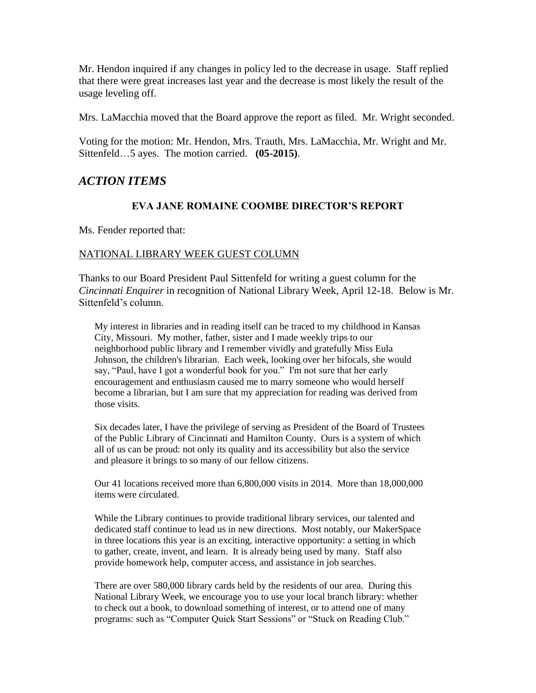Mr. Hendon inquired if any changes in policy led to the decrease in usage. Staff replied that there were great increases last year and the decrease is most likely the result of the usage leveling off.

Mrs. LaMacchia moved that the Board approve the report as filed. Mr. Wright seconded.

Voting for the motion: Mr. Hendon, Mrs. Trauth, Mrs. LaMacchia, Mr. Wright and Mr. Sittenfeld…5 ayes. The motion carried. **(05-2015)**.

# *ACTION ITEMS*

#### **EVA JANE ROMAINE COOMBE DIRECTOR'S REPORT**

Ms. Fender reported that:

#### NATIONAL LIBRARY WEEK GUEST COLUMN

Thanks to our Board President Paul Sittenfeld for writing a guest column for the *Cincinnati Enquirer* in recognition of National Library Week, April 12-18. Below is Mr. Sittenfeld's column.

My interest in libraries and in reading itself can be traced to my childhood in Kansas City, Missouri. My mother, father, sister and I made weekly trips to our neighborhood public library and I remember vividly and gratefully Miss Eula Johnson, the children's librarian. Each week, looking over her bifocals, she would say, "Paul, have I got a wonderful book for you." I'm not sure that her early encouragement and enthusiasm caused me to marry someone who would herself become a librarian, but I am sure that my appreciation for reading was derived from those visits.

Six decades later, I have the privilege of serving as President of the Board of Trustees of the Public Library of Cincinnati and Hamilton County. Ours is a system of which all of us can be proud: not only its quality and its accessibility but also the service and pleasure it brings to so many of our fellow citizens.

Our 41 locations received more than 6,800,000 visits in 2014. More than 18,000,000 items were circulated.

While the Library continues to provide traditional library services, our talented and dedicated staff continue to lead us in new directions. Most notably, our MakerSpace in three locations this year is an exciting, interactive opportunity: a setting in which to gather, create, invent, and learn. It is already being used by many. Staff also provide homework help, computer access, and assistance in job searches.

There are over 580,000 library cards held by the residents of our area. During this National Library Week, we encourage you to use your local branch library: whether to check out a book, to download something of interest, or to attend one of many programs: such as "Computer Quick Start Sessions" or "Stuck on Reading Club."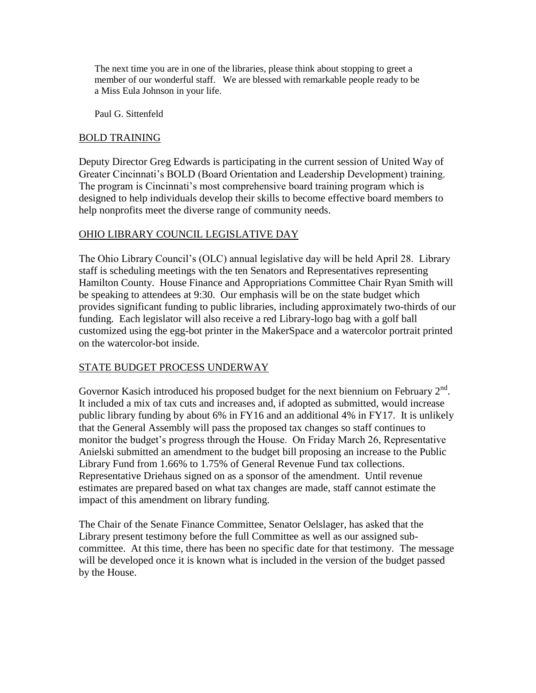The next time you are in one of the libraries, please think about stopping to greet a member of our wonderful staff. We are blessed with remarkable people ready to be a Miss Eula Johnson in your life.

Paul G. Sittenfeld

#### BOLD TRAINING

Deputy Director Greg Edwards is participating in the current session of United Way of Greater Cincinnati's BOLD (Board Orientation and Leadership Development) training. The program is Cincinnati's most comprehensive board training program which is designed to help individuals develop their skills to become effective board members to help nonprofits meet the diverse range of community needs.

## OHIO LIBRARY COUNCIL LEGISLATIVE DAY

The Ohio Library Council's (OLC) annual legislative day will be held April 28. Library staff is scheduling meetings with the ten Senators and Representatives representing Hamilton County. House Finance and Appropriations Committee Chair Ryan Smith will be speaking to attendees at 9:30. Our emphasis will be on the state budget which provides significant funding to public libraries, including approximately two-thirds of our funding. Each legislator will also receive a red Library-logo bag with a golf ball customized using the egg-bot printer in the MakerSpace and a watercolor portrait printed on the watercolor-bot inside.

## STATE BUDGET PROCESS UNDERWAY

Governor Kasich introduced his proposed budget for the next biennium on February  $2<sup>nd</sup>$ . It included a mix of tax cuts and increases and, if adopted as submitted, would increase public library funding by about 6% in FY16 and an additional 4% in FY17. It is unlikely that the General Assembly will pass the proposed tax changes so staff continues to monitor the budget's progress through the House. On Friday March 26, Representative Anielski submitted an amendment to the budget bill proposing an increase to the Public Library Fund from 1.66% to 1.75% of General Revenue Fund tax collections. Representative Driehaus signed on as a sponsor of the amendment. Until revenue estimates are prepared based on what tax changes are made, staff cannot estimate the impact of this amendment on library funding.

The Chair of the Senate Finance Committee, Senator Oelslager, has asked that the Library present testimony before the full Committee as well as our assigned subcommittee. At this time, there has been no specific date for that testimony. The message will be developed once it is known what is included in the version of the budget passed by the House.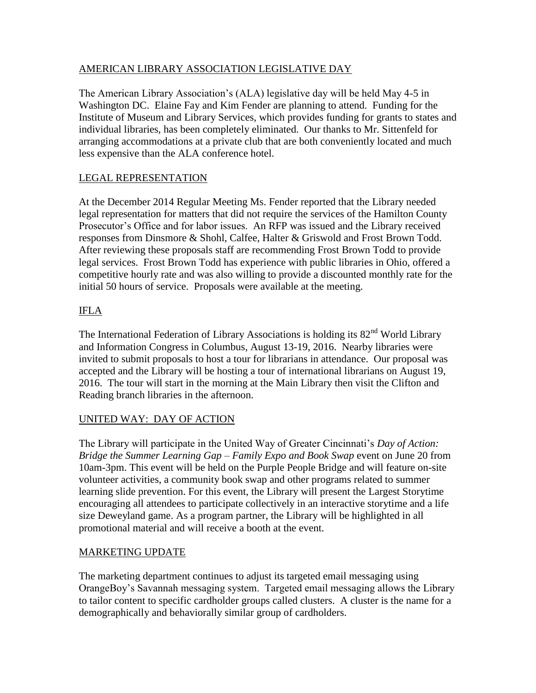# AMERICAN LIBRARY ASSOCIATION LEGISLATIVE DAY

The American Library Association's (ALA) legislative day will be held May 4-5 in Washington DC. Elaine Fay and Kim Fender are planning to attend. Funding for the Institute of Museum and Library Services, which provides funding for grants to states and individual libraries, has been completely eliminated. Our thanks to Mr. Sittenfeld for arranging accommodations at a private club that are both conveniently located and much less expensive than the ALA conference hotel.

# LEGAL REPRESENTATION

At the December 2014 Regular Meeting Ms. Fender reported that the Library needed legal representation for matters that did not require the services of the Hamilton County Prosecutor's Office and for labor issues. An RFP was issued and the Library received responses from Dinsmore & Shohl, Calfee, Halter & Griswold and Frost Brown Todd. After reviewing these proposals staff are recommending Frost Brown Todd to provide legal services. Frost Brown Todd has experience with public libraries in Ohio, offered a competitive hourly rate and was also willing to provide a discounted monthly rate for the initial 50 hours of service. Proposals were available at the meeting.

# IFLA

The International Federation of Library Associations is holding its 82<sup>nd</sup> World Library and Information Congress in Columbus, August 13-19, 2016. Nearby libraries were invited to submit proposals to host a tour for librarians in attendance. Our proposal was accepted and the Library will be hosting a tour of international librarians on August 19, 2016. The tour will start in the morning at the Main Library then visit the Clifton and Reading branch libraries in the afternoon.

## UNITED WAY: DAY OF ACTION

The Library will participate in the United Way of Greater Cincinnati's *Day of Action: Bridge the Summer Learning Gap – Family Expo and Book Swap* event on June 20 from 10am-3pm. This event will be held on the Purple People Bridge and will feature on-site volunteer activities, a community book swap and other programs related to summer learning slide prevention. For this event, the Library will present the Largest Storytime encouraging all attendees to participate collectively in an interactive storytime and a life size Deweyland game. As a program partner, the Library will be highlighted in all promotional material and will receive a booth at the event.

## MARKETING UPDATE

The marketing department continues to adjust its targeted email messaging using OrangeBoy's Savannah messaging system. Targeted email messaging allows the Library to tailor content to specific cardholder groups called clusters. A cluster is the name for a demographically and behaviorally similar group of cardholders.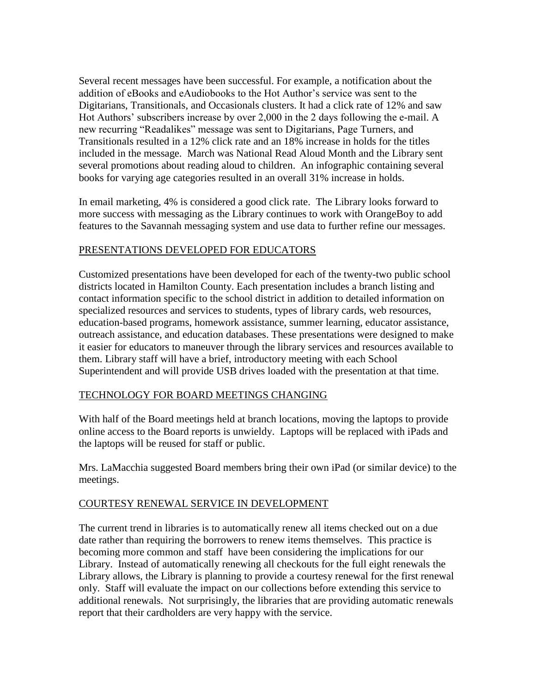Several recent messages have been successful. For example, a notification about the addition of eBooks and eAudiobooks to the Hot Author's service was sent to the Digitarians, Transitionals, and Occasionals clusters. It had a click rate of 12% and saw Hot Authors' subscribers increase by over 2,000 in the 2 days following the e-mail. A new recurring "Readalikes" message was sent to Digitarians, Page Turners, and Transitionals resulted in a 12% click rate and an 18% increase in holds for the titles included in the message. March was National Read Aloud Month and the Library sent several promotions about reading aloud to children. An infographic containing several books for varying age categories resulted in an overall 31% increase in holds.

In email marketing, 4% is considered a good click rate. The Library looks forward to more success with messaging as the Library continues to work with OrangeBoy to add features to the Savannah messaging system and use data to further refine our messages.

## PRESENTATIONS DEVELOPED FOR EDUCATORS

Customized presentations have been developed for each of the twenty-two public school districts located in Hamilton County. Each presentation includes a branch listing and contact information specific to the school district in addition to detailed information on specialized resources and services to students, types of library cards, web resources, education-based programs, homework assistance, summer learning, educator assistance, outreach assistance, and education databases. These presentations were designed to make it easier for educators to maneuver through the library services and resources available to them. Library staff will have a brief, introductory meeting with each School Superintendent and will provide USB drives loaded with the presentation at that time.

#### TECHNOLOGY FOR BOARD MEETINGS CHANGING

With half of the Board meetings held at branch locations, moving the laptops to provide online access to the Board reports is unwieldy. Laptops will be replaced with iPads and the laptops will be reused for staff or public.

Mrs. LaMacchia suggested Board members bring their own iPad (or similar device) to the meetings.

#### COURTESY RENEWAL SERVICE IN DEVELOPMENT

The current trend in libraries is to automatically renew all items checked out on a due date rather than requiring the borrowers to renew items themselves. This practice is becoming more common and staff have been considering the implications for our Library. Instead of automatically renewing all checkouts for the full eight renewals the Library allows, the Library is planning to provide a courtesy renewal for the first renewal only. Staff will evaluate the impact on our collections before extending this service to additional renewals. Not surprisingly, the libraries that are providing automatic renewals report that their cardholders are very happy with the service.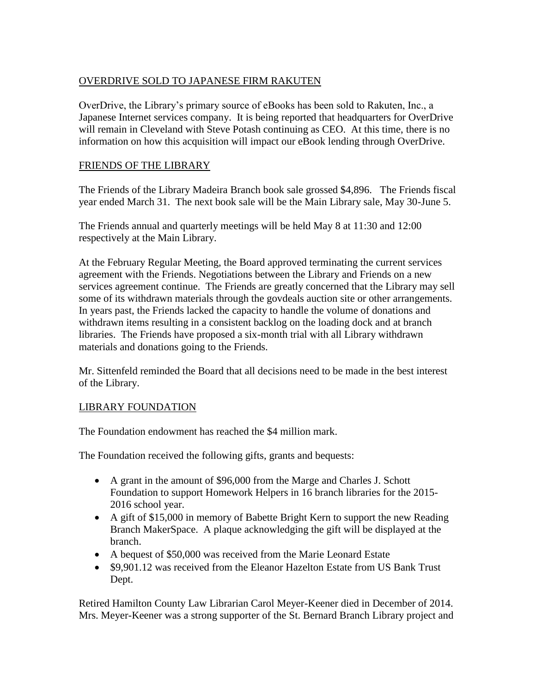# OVERDRIVE SOLD TO JAPANESE FIRM RAKUTEN

OverDrive, the Library's primary source of eBooks has been sold to Rakuten, Inc., a Japanese Internet services company. It is being reported that headquarters for OverDrive will remain in Cleveland with Steve Potash continuing as CEO. At this time, there is no information on how this acquisition will impact our eBook lending through OverDrive.

### FRIENDS OF THE LIBRARY

The Friends of the Library Madeira Branch book sale grossed \$4,896. The Friends fiscal year ended March 31. The next book sale will be the Main Library sale, May 30-June 5.

The Friends annual and quarterly meetings will be held May 8 at 11:30 and 12:00 respectively at the Main Library.

At the February Regular Meeting, the Board approved terminating the current services agreement with the Friends. Negotiations between the Library and Friends on a new services agreement continue. The Friends are greatly concerned that the Library may sell some of its withdrawn materials through the govdeals auction site or other arrangements. In years past, the Friends lacked the capacity to handle the volume of donations and withdrawn items resulting in a consistent backlog on the loading dock and at branch libraries. The Friends have proposed a six-month trial with all Library withdrawn materials and donations going to the Friends.

Mr. Sittenfeld reminded the Board that all decisions need to be made in the best interest of the Library.

## LIBRARY FOUNDATION

The Foundation endowment has reached the \$4 million mark.

The Foundation received the following gifts, grants and bequests:

- A grant in the amount of \$96,000 from the Marge and Charles J. Schott Foundation to support Homework Helpers in 16 branch libraries for the 2015- 2016 school year.
- A gift of \$15,000 in memory of Babette Bright Kern to support the new Reading Branch MakerSpace. A plaque acknowledging the gift will be displayed at the branch.
- A bequest of \$50,000 was received from the Marie Leonard Estate
- \$9,901.12 was received from the Eleanor Hazelton Estate from US Bank Trust Dept.

Retired Hamilton County Law Librarian Carol Meyer-Keener died in December of 2014. Mrs. Meyer-Keener was a strong supporter of the St. Bernard Branch Library project and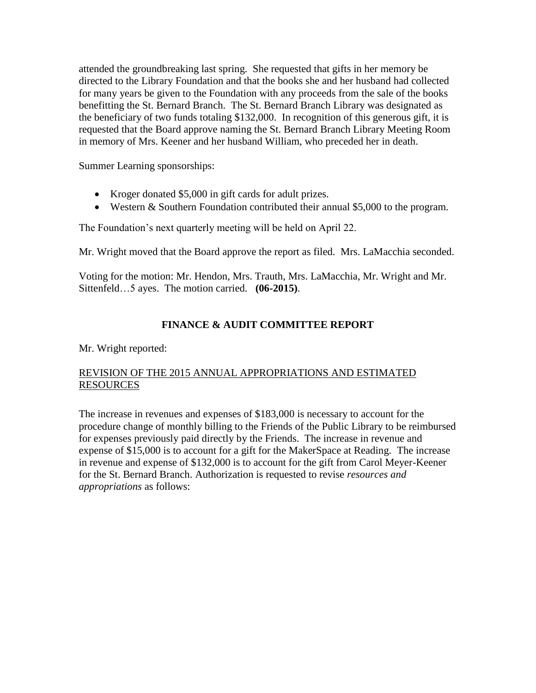attended the groundbreaking last spring. She requested that gifts in her memory be directed to the Library Foundation and that the books she and her husband had collected for many years be given to the Foundation with any proceeds from the sale of the books benefitting the St. Bernard Branch. The St. Bernard Branch Library was designated as the beneficiary of two funds totaling \$132,000. In recognition of this generous gift, it is requested that the Board approve naming the St. Bernard Branch Library Meeting Room in memory of Mrs. Keener and her husband William, who preceded her in death.

Summer Learning sponsorships:

- Kroger donated \$5,000 in gift cards for adult prizes.
- Western & Southern Foundation contributed their annual \$5,000 to the program.

The Foundation's next quarterly meeting will be held on April 22.

Mr. Wright moved that the Board approve the report as filed. Mrs. LaMacchia seconded.

Voting for the motion: Mr. Hendon, Mrs. Trauth, Mrs. LaMacchia, Mr. Wright and Mr. Sittenfeld…5 ayes. The motion carried. **(06-2015)**.

# **FINANCE & AUDIT COMMITTEE REPORT**

Mr. Wright reported:

## REVISION OF THE 2015 ANNUAL APPROPRIATIONS AND ESTIMATED RESOURCES

The increase in revenues and expenses of \$183,000 is necessary to account for the procedure change of monthly billing to the Friends of the Public Library to be reimbursed for expenses previously paid directly by the Friends. The increase in revenue and expense of \$15,000 is to account for a gift for the MakerSpace at Reading. The increase in revenue and expense of \$132,000 is to account for the gift from Carol Meyer-Keener for the St. Bernard Branch. Authorization is requested to revise *resources and appropriations* as follows: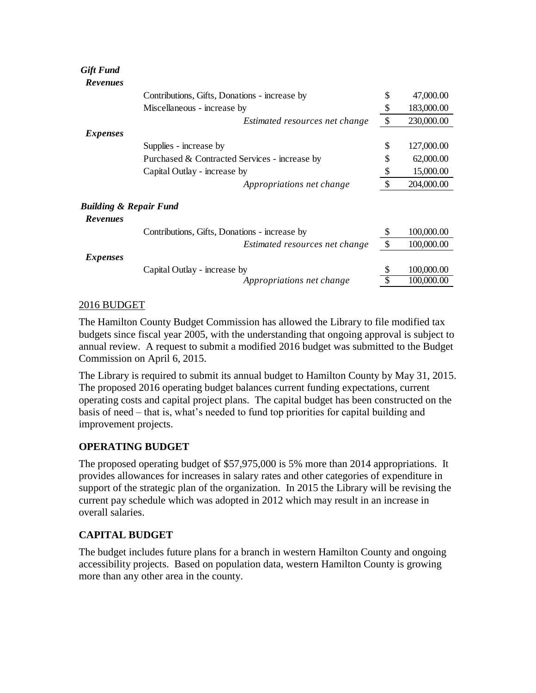| <b>Gift Fund</b>                  |                                               |               |            |
|-----------------------------------|-----------------------------------------------|---------------|------------|
| <b>Revenues</b>                   |                                               |               |            |
|                                   | Contributions, Gifts, Donations - increase by | \$            | 47,000.00  |
|                                   | Miscellaneous - increase by                   | \$            | 183,000.00 |
|                                   | Estimated resources net change                | \$            | 230,000.00 |
| <i>Expenses</i>                   |                                               |               |            |
|                                   | Supplies - increase by                        | \$            | 127,000.00 |
|                                   | Purchased & Contracted Services - increase by | S             | 62,000.00  |
|                                   | Capital Outlay - increase by                  | \$            | 15,000.00  |
|                                   | Appropriations net change                     | $\mathcal{S}$ | 204,000.00 |
| <b>Building &amp; Repair Fund</b> |                                               |               |            |
| <b>Revenues</b>                   |                                               |               |            |
|                                   | Contributions, Gifts, Donations - increase by | \$            | 100,000.00 |
|                                   | Estimated resources net change                | \$            | 100,000.00 |
| <i>Expenses</i>                   |                                               |               |            |
|                                   | Capital Outlay - increase by                  |               | 100,000.00 |
|                                   | Appropriations net change                     |               | 100,000.00 |

## 2016 BUDGET

The Hamilton County Budget Commission has allowed the Library to file modified tax budgets since fiscal year 2005, with the understanding that ongoing approval is subject to annual review. A request to submit a modified 2016 budget was submitted to the Budget Commission on April 6, 2015.

The Library is required to submit its annual budget to Hamilton County by May 31, 2015. The proposed 2016 operating budget balances current funding expectations, current operating costs and capital project plans. The capital budget has been constructed on the basis of need – that is, what's needed to fund top priorities for capital building and improvement projects.

## **OPERATING BUDGET**

The proposed operating budget of \$57,975,000 is 5% more than 2014 appropriations. It provides allowances for increases in salary rates and other categories of expenditure in support of the strategic plan of the organization. In 2015 the Library will be revising the current pay schedule which was adopted in 2012 which may result in an increase in overall salaries.

## **CAPITAL BUDGET**

The budget includes future plans for a branch in western Hamilton County and ongoing accessibility projects. Based on population data, western Hamilton County is growing more than any other area in the county.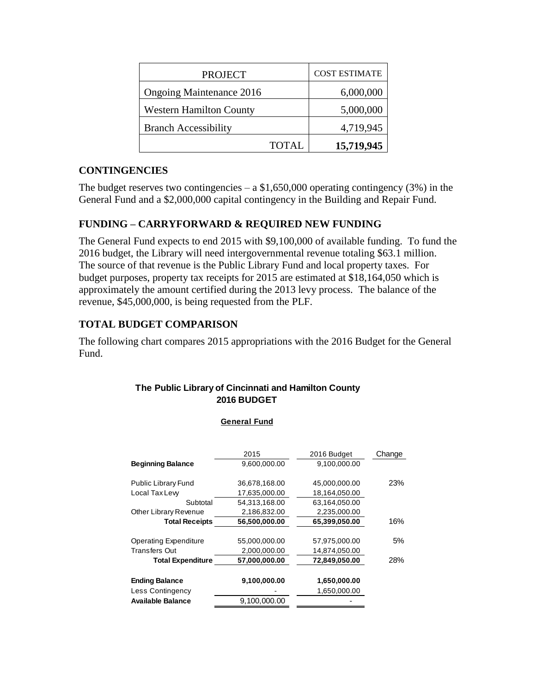| <b>PROJECT</b>                 | <b>COST ESTIMATE</b> |
|--------------------------------|----------------------|
| Ongoing Maintenance 2016       | 6,000,000            |
| <b>Western Hamilton County</b> | 5,000,000            |
| <b>Branch Accessibility</b>    | 4,719,945            |
| <b>TOTAL</b>                   | 15,719,945           |

# **CONTINGENCIES**

The budget reserves two contingencies  $- a $1,650,000$  operating contingency (3%) in the General Fund and a \$2,000,000 capital contingency in the Building and Repair Fund.

# **FUNDING – CARRYFORWARD & REQUIRED NEW FUNDING**

The General Fund expects to end 2015 with \$9,100,000 of available funding. To fund the 2016 budget, the Library will need intergovernmental revenue totaling \$63.1 million. The source of that revenue is the Public Library Fund and local property taxes. For budget purposes, property tax receipts for 2015 are estimated at \$18,164,050 which is approximately the amount certified during the 2013 levy process. The balance of the revenue, \$45,000,000, is being requested from the PLF.

# **TOTAL BUDGET COMPARISON**

The following chart compares 2015 appropriations with the 2016 Budget for the General Fund.

## **The Public Library of Cincinnati and Hamilton County 2016 BUDGET**

**General Fund**

|                              | 2015          | 2016 Budget   | Change |
|------------------------------|---------------|---------------|--------|
| <b>Beginning Balance</b>     | 9,600,000.00  | 9,100,000.00  |        |
| <b>Public Library Fund</b>   | 36,678,168.00 | 45,000,000.00 | 23%    |
| Local Tax Lew                | 17,635,000.00 | 18,164,050.00 |        |
| Subtotal                     | 54,313,168.00 | 63,164,050.00 |        |
| Other Library Revenue        | 2,186,832.00  | 2,235,000.00  |        |
| <b>Total Receipts</b>        | 56,500,000.00 | 65,399,050.00 | 16%    |
| <b>Operating Expenditure</b> | 55,000,000.00 | 57,975,000.00 | 5%     |
| Transfers Out                | 2,000,000.00  | 14,874,050.00 |        |
| <b>Total Expenditure</b>     | 57,000,000.00 | 72,849,050.00 | 28%    |
| <b>Ending Balance</b>        | 9,100,000.00  | 1,650,000.00  |        |
| Less Contingency             |               | 1,650,000.00  |        |
| Available Balance            | 9.100.000.00  |               |        |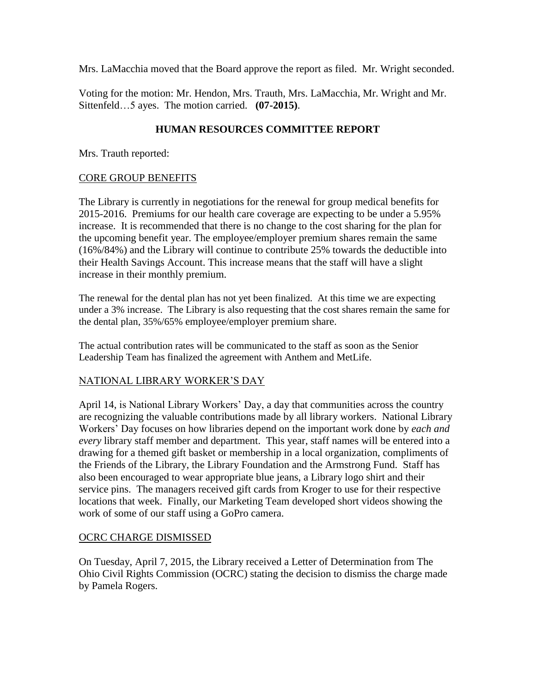Mrs. LaMacchia moved that the Board approve the report as filed. Mr. Wright seconded.

Voting for the motion: Mr. Hendon, Mrs. Trauth, Mrs. LaMacchia, Mr. Wright and Mr. Sittenfeld…5 ayes. The motion carried. **(07-2015)**.

# **HUMAN RESOURCES COMMITTEE REPORT**

Mrs. Trauth reported:

## CORE GROUP BENEFITS

The Library is currently in negotiations for the renewal for group medical benefits for 2015-2016. Premiums for our health care coverage are expecting to be under a 5.95% increase. It is recommended that there is no change to the cost sharing for the plan for the upcoming benefit year. The employee/employer premium shares remain the same (16%/84%) and the Library will continue to contribute 25% towards the deductible into their Health Savings Account. This increase means that the staff will have a slight increase in their monthly premium.

The renewal for the dental plan has not yet been finalized. At this time we are expecting under a 3% increase. The Library is also requesting that the cost shares remain the same for the dental plan, 35%/65% employee/employer premium share.

The actual contribution rates will be communicated to the staff as soon as the Senior Leadership Team has finalized the agreement with Anthem and MetLife.

## NATIONAL LIBRARY WORKER'S DAY

April 14, is National Library Workers' Day, a day that communities across the country are recognizing the valuable contributions made by all library workers. National Library Workers' Day focuses on how libraries depend on the important work done by *each and every* library staff member and department. This year, staff names will be entered into a drawing for a themed gift basket or membership in a local organization, compliments of the Friends of the Library, the Library Foundation and the Armstrong Fund. Staff has also been encouraged to wear appropriate blue jeans, a Library logo shirt and their service pins. The managers received gift cards from Kroger to use for their respective locations that week. Finally, our Marketing Team developed short videos showing the work of some of our staff using a GoPro camera.

## OCRC CHARGE DISMISSED

On Tuesday, April 7, 2015, the Library received a Letter of Determination from The Ohio Civil Rights Commission (OCRC) stating the decision to dismiss the charge made by Pamela Rogers.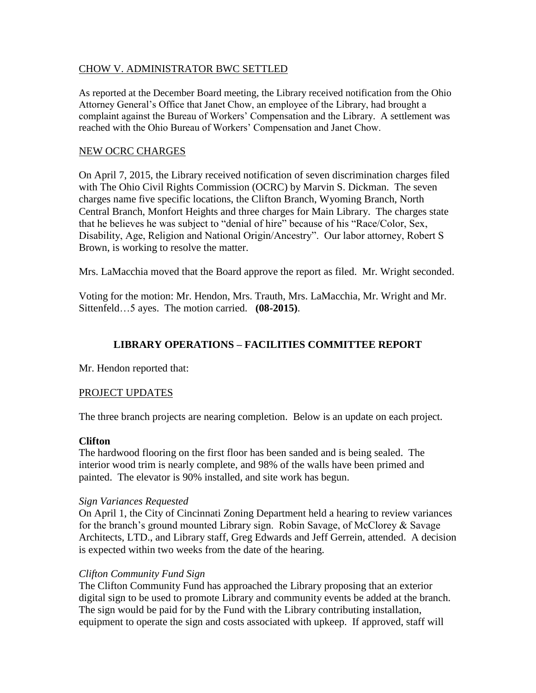#### CHOW V. ADMINISTRATOR BWC SETTLED

As reported at the December Board meeting, the Library received notification from the Ohio Attorney General's Office that Janet Chow, an employee of the Library, had brought a complaint against the Bureau of Workers' Compensation and the Library. A settlement was reached with the Ohio Bureau of Workers' Compensation and Janet Chow.

#### NEW OCRC CHARGES

On April 7, 2015, the Library received notification of seven discrimination charges filed with The Ohio Civil Rights Commission (OCRC) by Marvin S. Dickman. The seven charges name five specific locations, the Clifton Branch, Wyoming Branch, North Central Branch, Monfort Heights and three charges for Main Library. The charges state that he believes he was subject to "denial of hire" because of his "Race/Color, Sex, Disability, Age, Religion and National Origin/Ancestry". Our labor attorney, Robert S Brown, is working to resolve the matter.

Mrs. LaMacchia moved that the Board approve the report as filed. Mr. Wright seconded.

Voting for the motion: Mr. Hendon, Mrs. Trauth, Mrs. LaMacchia, Mr. Wright and Mr. Sittenfeld…5 ayes. The motion carried. **(08-2015)**.

# **LIBRARY OPERATIONS – FACILITIES COMMITTEE REPORT**

Mr. Hendon reported that:

#### PROJECT UPDATES

The three branch projects are nearing completion. Below is an update on each project.

#### **Clifton**

The hardwood flooring on the first floor has been sanded and is being sealed. The interior wood trim is nearly complete, and 98% of the walls have been primed and painted. The elevator is 90% installed, and site work has begun.

#### *Sign Variances Requested*

On April 1, the City of Cincinnati Zoning Department held a hearing to review variances for the branch's ground mounted Library sign. Robin Savage, of McClorey & Savage Architects, LTD., and Library staff, Greg Edwards and Jeff Gerrein, attended. A decision is expected within two weeks from the date of the hearing.

#### *Clifton Community Fund Sign*

The Clifton Community Fund has approached the Library proposing that an exterior digital sign to be used to promote Library and community events be added at the branch. The sign would be paid for by the Fund with the Library contributing installation, equipment to operate the sign and costs associated with upkeep. If approved, staff will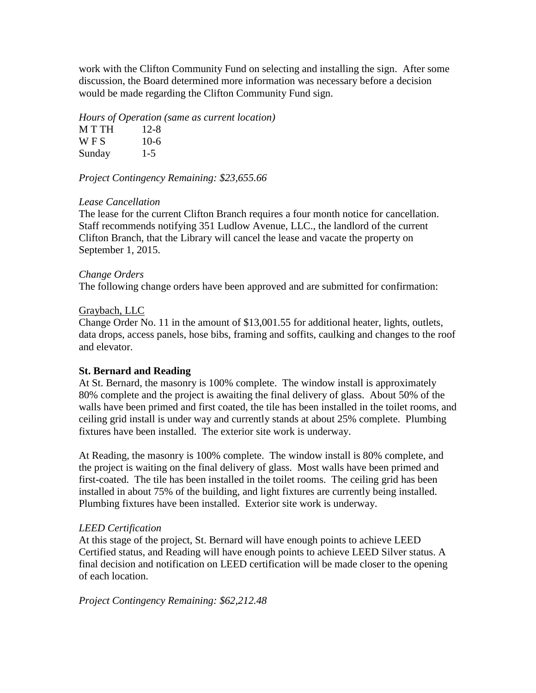work with the Clifton Community Fund on selecting and installing the sign. After some discussion, the Board determined more information was necessary before a decision would be made regarding the Clifton Community Fund sign.

#### *Hours of Operation (same as current location)*

| M T TH     | $12 - 8$ |
|------------|----------|
| <b>WFS</b> | $10-6$   |
| Sunday     | $1 - 5$  |

#### *Project Contingency Remaining: \$23,655.66*

#### *Lease Cancellation*

The lease for the current Clifton Branch requires a four month notice for cancellation. Staff recommends notifying 351 Ludlow Avenue, LLC., the landlord of the current Clifton Branch, that the Library will cancel the lease and vacate the property on September 1, 2015.

#### *Change Orders*

The following change orders have been approved and are submitted for confirmation:

#### Graybach, LLC

Change Order No. 11 in the amount of \$13,001.55 for additional heater, lights, outlets, data drops, access panels, hose bibs, framing and soffits, caulking and changes to the roof and elevator.

## **St. Bernard and Reading**

At St. Bernard, the masonry is 100% complete. The window install is approximately 80% complete and the project is awaiting the final delivery of glass. About 50% of the walls have been primed and first coated, the tile has been installed in the toilet rooms, and ceiling grid install is under way and currently stands at about 25% complete. Plumbing fixtures have been installed. The exterior site work is underway.

At Reading, the masonry is 100% complete. The window install is 80% complete, and the project is waiting on the final delivery of glass. Most walls have been primed and first-coated. The tile has been installed in the toilet rooms. The ceiling grid has been installed in about 75% of the building, and light fixtures are currently being installed. Plumbing fixtures have been installed. Exterior site work is underway.

#### *LEED Certification*

At this stage of the project, St. Bernard will have enough points to achieve LEED Certified status, and Reading will have enough points to achieve LEED Silver status. A final decision and notification on LEED certification will be made closer to the opening of each location.

*Project Contingency Remaining: \$62,212.48*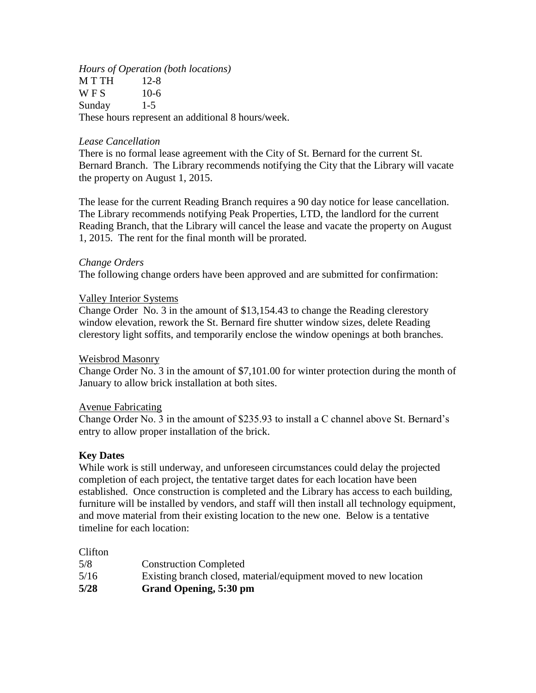*Hours of Operation (both locations)* M T TH 12-8  $W F S$  10-6 Sunday 1-5 These hours represent an additional 8 hours/week.

### *Lease Cancellation*

There is no formal lease agreement with the City of St. Bernard for the current St. Bernard Branch. The Library recommends notifying the City that the Library will vacate the property on August 1, 2015.

The lease for the current Reading Branch requires a 90 day notice for lease cancellation. The Library recommends notifying Peak Properties, LTD, the landlord for the current Reading Branch, that the Library will cancel the lease and vacate the property on August 1, 2015. The rent for the final month will be prorated.

#### *Change Orders*

The following change orders have been approved and are submitted for confirmation:

#### Valley Interior Systems

Change Order No. 3 in the amount of \$13,154.43 to change the Reading clerestory window elevation, rework the St. Bernard fire shutter window sizes, delete Reading clerestory light soffits, and temporarily enclose the window openings at both branches.

#### Weisbrod Masonry

Change Order No. 3 in the amount of \$7,101.00 for winter protection during the month of January to allow brick installation at both sites.

#### Avenue Fabricating

Change Order No. 3 in the amount of \$235.93 to install a C channel above St. Bernard's entry to allow proper installation of the brick.

## **Key Dates**

While work is still underway, and unforeseen circumstances could delay the projected completion of each project, the tentative target dates for each location have been established. Once construction is completed and the Library has access to each building, furniture will be installed by vendors, and staff will then install all technology equipment, and move material from their existing location to the new one. Below is a tentative timeline for each location:

#### Clifton

| 5/8  | <b>Construction Completed</b>                                    |
|------|------------------------------------------------------------------|
| 5/16 | Existing branch closed, material/equipment moved to new location |
| 5/28 | Grand Opening, 5:30 pm                                           |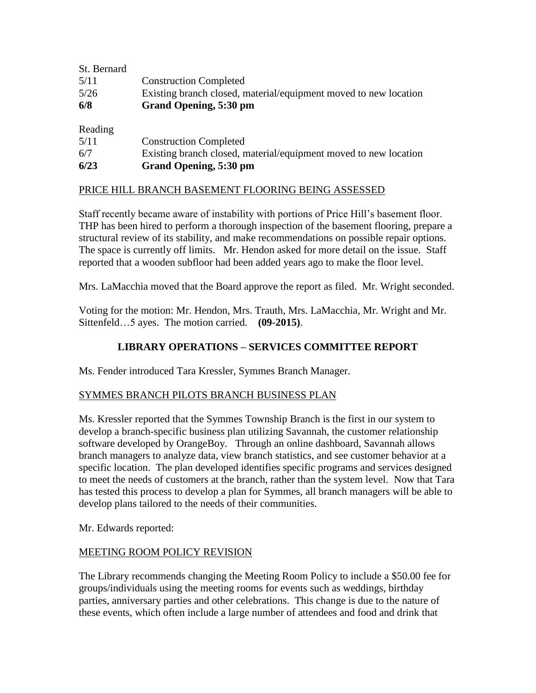| St. Bernard |                                                                  |
|-------------|------------------------------------------------------------------|
| 5/11        | <b>Construction Completed</b>                                    |
| 5/26        | Existing branch closed, material/equipment moved to new location |
| 6/8         | Grand Opening, 5:30 pm                                           |
| Reading     |                                                                  |
| 5/11        | <b>Construction Completed</b>                                    |
| 6/7         | Existing branch closed, material/equipment moved to new location |
| 6/23        | Grand Opening, 5:30 pm                                           |

## PRICE HILL BRANCH BASEMENT FLOORING BEING ASSESSED

Staff recently became aware of instability with portions of Price Hill's basement floor. THP has been hired to perform a thorough inspection of the basement flooring, prepare a structural review of its stability, and make recommendations on possible repair options. The space is currently off limits. Mr. Hendon asked for more detail on the issue. Staff reported that a wooden subfloor had been added years ago to make the floor level.

Mrs. LaMacchia moved that the Board approve the report as filed. Mr. Wright seconded.

Voting for the motion: Mr. Hendon, Mrs. Trauth, Mrs. LaMacchia, Mr. Wright and Mr. Sittenfeld…5 ayes. The motion carried. **(09-2015)**.

# **LIBRARY OPERATIONS – SERVICES COMMITTEE REPORT**

Ms. Fender introduced Tara Kressler, Symmes Branch Manager.

## SYMMES BRANCH PILOTS BRANCH BUSINESS PLAN

Ms. Kressler reported that the Symmes Township Branch is the first in our system to develop a branch-specific business plan utilizing Savannah, the customer relationship software developed by OrangeBoy. Through an online dashboard, Savannah allows branch managers to analyze data, view branch statistics, and see customer behavior at a specific location. The plan developed identifies specific programs and services designed to meet the needs of customers at the branch, rather than the system level. Now that Tara has tested this process to develop a plan for Symmes, all branch managers will be able to develop plans tailored to the needs of their communities.

Mr. Edwards reported:

#### MEETING ROOM POLICY REVISION

The Library recommends changing the Meeting Room Policy to include a \$50.00 fee for groups/individuals using the meeting rooms for events such as weddings, birthday parties, anniversary parties and other celebrations. This change is due to the nature of these events, which often include a large number of attendees and food and drink that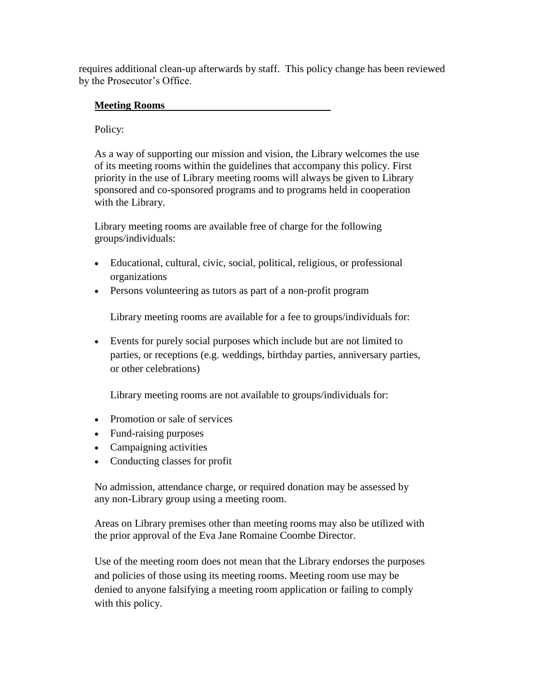requires additional clean-up afterwards by staff. This policy change has been reviewed by the Prosecutor's Office.

# **Meeting Rooms**

# Policy:

As a way of supporting our mission and vision, the Library welcomes the use of its meeting rooms within the guidelines that accompany this policy. First priority in the use of Library meeting rooms will always be given to Library sponsored and co-sponsored programs and to programs held in cooperation with the Library.

Library meeting rooms are available free of charge for the following groups/individuals:

- Educational, cultural, civic, social, political, religious, or professional organizations
- Persons volunteering as tutors as part of a non-profit program

Library meeting rooms are available for a fee to groups/individuals for:

 Events for purely social purposes which include but are not limited to parties, or receptions (e.g. weddings, birthday parties, anniversary parties, or other celebrations)

Library meeting rooms are not available to groups/individuals for:

- Promotion or sale of services
- Fund-raising purposes
- Campaigning activities
- Conducting classes for profit

No admission, attendance charge, or required donation may be assessed by any non-Library group using a meeting room.

Areas on Library premises other than meeting rooms may also be utilized with the prior approval of the Eva Jane Romaine Coombe Director.

Use of the meeting room does not mean that the Library endorses the purposes and policies of those using its meeting rooms. Meeting room use may be denied to anyone falsifying a meeting room application or failing to comply with this policy.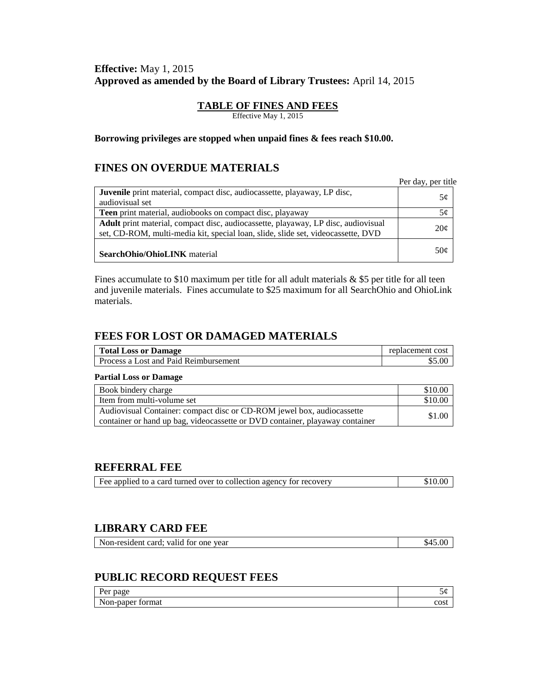# **Effective:** May 1, 2015 **Approved as amended by the Board of Library Trustees:** April 14, 2015

#### **TABLE OF FINES AND FEES**

Effective May 1, 2015

#### **Borrowing privileges are stopped when unpaid fines & fees reach \$10.00.**

## **FINES ON OVERDUE MATERIALS**

|                                                                                   | Per day, per title |
|-----------------------------------------------------------------------------------|--------------------|
| <b>Juvenile</b> print material, compact disc, audiocassette, playaway, LP disc,   | 5¢                 |
| audiovisual set                                                                   |                    |
| <b>Teen</b> print material, audiobooks on compact disc, playaway                  | 5¢                 |
| Adult print material, compact disc, audiocassette, playaway, LP disc, audiovisual |                    |
| set, CD-ROM, multi-media kit, special loan, slide, slide set, videocassette, DVD  | $20\mathcal{C}$    |
| <b>SearchOhio/OhioLINK</b> material                                               | 50¢                |

Fines accumulate to \$10 maximum per title for all adult materials  $&$  \$5 per title for all teen and juvenile materials. Fines accumulate to \$25 maximum for all SearchOhio and OhioLink materials.

## **FEES FOR LOST OR DAMAGED MATERIALS**

| <b>Total Loss or Damage</b>           | replacement cost |
|---------------------------------------|------------------|
| Process a Lost and Paid Reimbursement | .00              |

#### **Partial Loss or Damage**

| Book bindery charge                                                          | \$10.00 |
|------------------------------------------------------------------------------|---------|
| Item from multi-volume set                                                   | \$10.00 |
| Audiovisual Container: compact disc or CD-ROM jewel box, audiocassette       | \$1.00  |
| container or hand up bag, videocassette or DVD container, playaway container |         |

#### **REFERRAL FEE**

| Fee applied to a card turned over to collection agency for recovery | \$10.00 |
|---------------------------------------------------------------------|---------|
|                                                                     |         |

## **LIBRARY CARD FEE**

| Non-resident<br>card:<br>vear<br>valid<br>for one | 45.00<br>$.64-$ |
|---------------------------------------------------|-----------------|
|---------------------------------------------------|-----------------|

# **PUBLIC RECORD REQUEST FEES**

| $\sim$<br>nage<br>1 VI                                        | ຼ                |
|---------------------------------------------------------------|------------------|
| $     +$<br>$\sim$ 44<br>.ne<br>шаг<br>\u−Dar<br>$\sim$ 1011. | $\alpha$<br>∟∪งเ |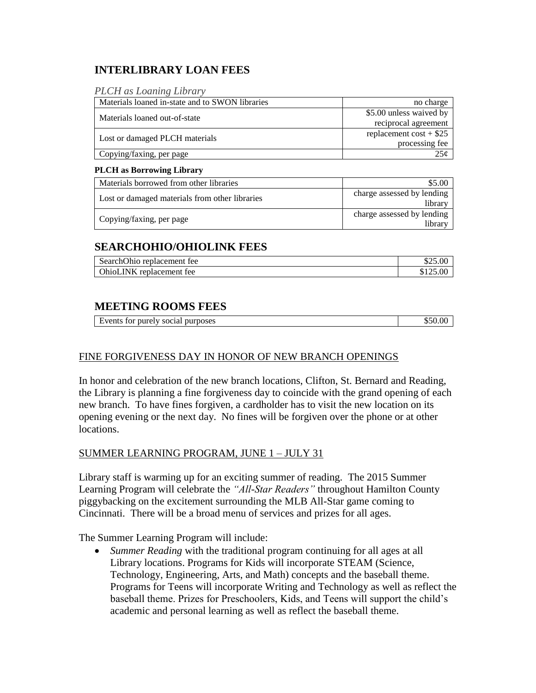# **INTERLIBRARY LOAN FEES**

| <b>PLCH</b> as Loaning Library |  |  |  |
|--------------------------------|--|--|--|

| Materials loaned in-state and to SWON libraries | no charge                |
|-------------------------------------------------|--------------------------|
| Materials loaned out-of-state                   | \$5.00 unless waived by  |
|                                                 | reciprocal agreement     |
|                                                 | replacement $cost + $25$ |
| Lost or damaged PLCH materials                  | processing fee           |
| Copying/faxing, per page                        | 25¢                      |

#### **PLCH as Borrowing Library**

| Materials borrowed from other libraries        | \$5.00                                |
|------------------------------------------------|---------------------------------------|
| Lost or damaged materials from other libraries | charge assessed by lending<br>library |
| Copying/faxing, per page                       | charge assessed by lending<br>library |

# **SEARCHOHIO/OHIOLINK FEES**

| SearchOhio replacement fee  |          |
|-----------------------------|----------|
| OhioLINK<br>replacement fee | \$125.00 |

# **MEETING ROOMS FEES**

| Events<br>purely<br>purposes<br>tor<br>00000<br>social<br>_____ | . |
|-----------------------------------------------------------------|---|

## FINE FORGIVENESS DAY IN HONOR OF NEW BRANCH OPENINGS

In honor and celebration of the new branch locations, Clifton, St. Bernard and Reading, the Library is planning a fine forgiveness day to coincide with the grand opening of each new branch. To have fines forgiven, a cardholder has to visit the new location on its opening evening or the next day. No fines will be forgiven over the phone or at other locations.

#### SUMMER LEARNING PROGRAM, JUNE 1 – JULY 31

Library staff is warming up for an exciting summer of reading. The 2015 Summer Learning Program will celebrate the *"All-Star Readers"* throughout Hamilton County piggybacking on the excitement surrounding the MLB All-Star game coming to Cincinnati. There will be a broad menu of services and prizes for all ages.

The Summer Learning Program will include:

 *Summer Reading* with the traditional program continuing for all ages at all Library locations. Programs for Kids will incorporate STEAM (Science, Technology, Engineering, Arts, and Math) concepts and the baseball theme. Programs for Teens will incorporate Writing and Technology as well as reflect the baseball theme. Prizes for Preschoolers, Kids, and Teens will support the child's academic and personal learning as well as reflect the baseball theme.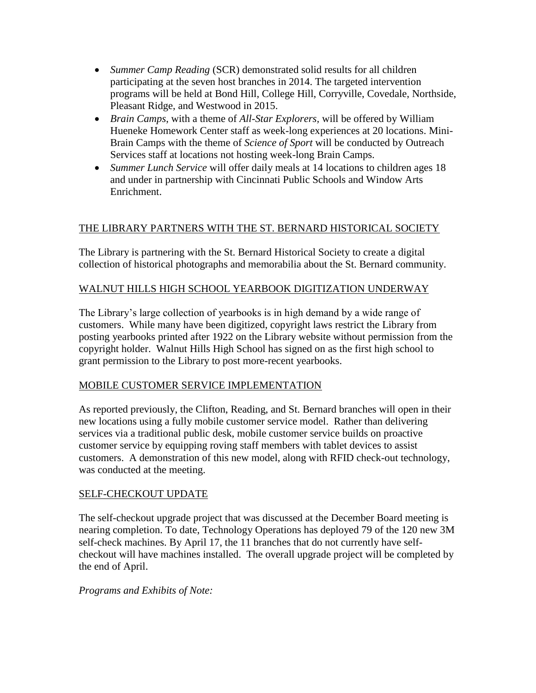- *Summer Camp Reading* (SCR) demonstrated solid results for all children participating at the seven host branches in 2014. The targeted intervention programs will be held at Bond Hill, College Hill, Corryville, Covedale, Northside, Pleasant Ridge, and Westwood in 2015.
- *Brain Camps*, with a theme of *All-Star Explorers,* will be offered by William Hueneke Homework Center staff as week-long experiences at 20 locations. Mini-Brain Camps with the theme of *Science of Sport* will be conducted by Outreach Services staff at locations not hosting week-long Brain Camps.
- *Summer Lunch Service* will offer daily meals at 14 locations to children ages 18 and under in partnership with Cincinnati Public Schools and Window Arts Enrichment.

# THE LIBRARY PARTNERS WITH THE ST. BERNARD HISTORICAL SOCIETY

The Library is partnering with the St. Bernard Historical Society to create a digital collection of historical photographs and memorabilia about the St. Bernard community.

## WALNUT HILLS HIGH SCHOOL YEARBOOK DIGITIZATION UNDERWAY

The Library's large collection of yearbooks is in high demand by a wide range of customers. While many have been digitized, copyright laws restrict the Library from posting yearbooks printed after 1922 on the Library website without permission from the copyright holder. Walnut Hills High School has signed on as the first high school to grant permission to the Library to post more-recent yearbooks.

## MOBILE CUSTOMER SERVICE IMPLEMENTATION

As reported previously, the Clifton, Reading, and St. Bernard branches will open in their new locations using a fully mobile customer service model. Rather than delivering services via a traditional public desk, mobile customer service builds on proactive customer service by equipping roving staff members with tablet devices to assist customers. A demonstration of this new model, along with RFID check-out technology, was conducted at the meeting.

## SELF-CHECKOUT UPDATE

The self-checkout upgrade project that was discussed at the December Board meeting is nearing completion. To date, Technology Operations has deployed 79 of the 120 new 3M self-check machines. By April 17, the 11 branches that do not currently have selfcheckout will have machines installed. The overall upgrade project will be completed by the end of April.

#### *Programs and Exhibits of Note:*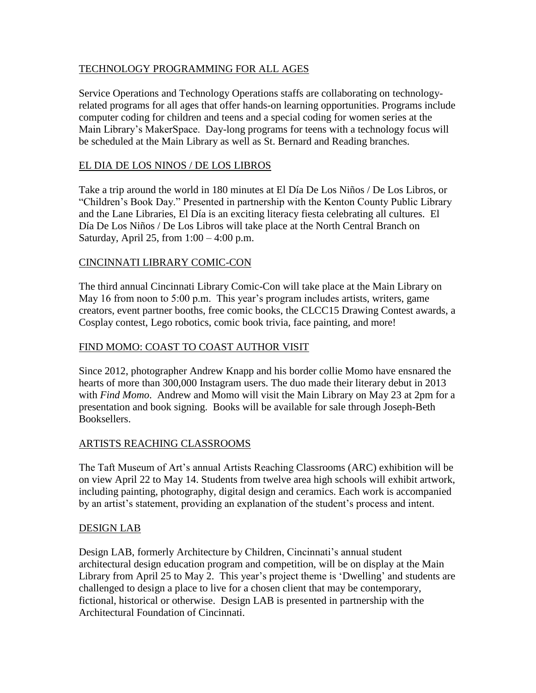## TECHNOLOGY PROGRAMMING FOR ALL AGES

Service Operations and Technology Operations staffs are collaborating on technologyrelated programs for all ages that offer hands-on learning opportunities. Programs include computer coding for children and teens and a special coding for women series at the Main Library's MakerSpace. Day-long programs for teens with a technology focus will be scheduled at the Main Library as well as St. Bernard and Reading branches.

#### EL DIA DE LOS NINOS / DE LOS LIBROS

Take a trip around the world in 180 minutes at El Día De Los Niños / De Los Libros, or "Children's Book Day." Presented in partnership with the Kenton County Public Library and the Lane Libraries, El Día is an exciting literacy fiesta celebrating all cultures. El Día De Los Niños / De Los Libros will take place at the North Central Branch on Saturday, April 25, from  $1:00 - 4:00$  p.m.

#### CINCINNATI LIBRARY COMIC-CON

The third annual Cincinnati Library Comic-Con will take place at the Main Library on May 16 from noon to 5:00 p.m. This year's program includes artists, writers, game creators, event partner booths, free comic books, the CLCC15 Drawing Contest awards, a Cosplay contest, Lego robotics, comic book trivia, face painting, and more!

#### FIND MOMO: COAST TO COAST AUTHOR VISIT

Since 2012, photographer Andrew Knapp and his border collie Momo have ensnared the hearts of more than 300,000 Instagram users. The duo made their literary debut in 2013 with *Find Momo*. Andrew and Momo will visit the Main Library on May 23 at 2pm for a presentation and book signing. Books will be available for sale through Joseph-Beth Booksellers.

## ARTISTS REACHING CLASSROOMS

The Taft Museum of Art's annual Artists Reaching Classrooms (ARC) exhibition will be on view April 22 to May 14. Students from twelve area high schools will exhibit artwork, including painting, photography, digital design and ceramics. Each work is accompanied by an artist's statement, providing an explanation of the student's process and intent.

#### DESIGN LAB

Design LAB, formerly Architecture by Children, Cincinnati's annual student architectural design education program and competition, will be on display at the Main Library from April 25 to May 2. This year's project theme is 'Dwelling' and students are challenged to design a place to live for a chosen client that may be contemporary, fictional, historical or otherwise. Design LAB is presented in partnership with the Architectural Foundation of Cincinnati.